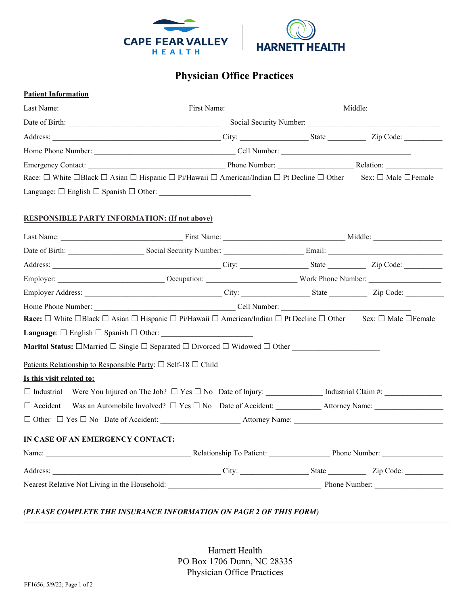

## **Physician Office Practices**

## **Patient Information**

|                                                      |                                                                                                                                                                    | Date of Birth: Social Security Number: Social Security Number: |  |  |  |
|------------------------------------------------------|--------------------------------------------------------------------------------------------------------------------------------------------------------------------|----------------------------------------------------------------|--|--|--|
|                                                      |                                                                                                                                                                    |                                                                |  |  |  |
|                                                      |                                                                                                                                                                    |                                                                |  |  |  |
|                                                      |                                                                                                                                                                    |                                                                |  |  |  |
|                                                      | Race: □ White □Black □ Asian □ Hispanic □ Pi/Hawaii □ American/Indian □ Pt Decline □ Other Sex: □ Male □Female                                                     |                                                                |  |  |  |
|                                                      | Language: $\Box$ English $\Box$ Spanish $\Box$ Other:                                                                                                              |                                                                |  |  |  |
| <b>RESPONSIBLE PARTY INFORMATION: (If not above)</b> |                                                                                                                                                                    |                                                                |  |  |  |
|                                                      |                                                                                                                                                                    |                                                                |  |  |  |
|                                                      | Date of Birth: Social Security Number: Email: Email: Email:                                                                                                        |                                                                |  |  |  |
|                                                      |                                                                                                                                                                    |                                                                |  |  |  |
|                                                      |                                                                                                                                                                    |                                                                |  |  |  |
|                                                      |                                                                                                                                                                    |                                                                |  |  |  |
|                                                      |                                                                                                                                                                    |                                                                |  |  |  |
|                                                      | Race: $\Box$ White $\Box$ Black $\Box$ Asian $\Box$ Hispanic $\Box$ Pi/Hawaii $\Box$ American/Indian $\Box$ Pt Decline $\Box$ Other Sex: $\Box$ Male $\Box$ Female |                                                                |  |  |  |
|                                                      |                                                                                                                                                                    |                                                                |  |  |  |
|                                                      | Marital Status: $\Box$ Married $\Box$ Single $\Box$ Separated $\Box$ Divorced $\Box$ Widowed $\Box$ Other                                                          |                                                                |  |  |  |
|                                                      | Patients Relationship to Responsible Party: $\Box$ Self-18 $\Box$ Child                                                                                            |                                                                |  |  |  |
| Is this visit related to:                            |                                                                                                                                                                    |                                                                |  |  |  |
|                                                      |                                                                                                                                                                    |                                                                |  |  |  |
|                                                      |                                                                                                                                                                    |                                                                |  |  |  |
|                                                      |                                                                                                                                                                    |                                                                |  |  |  |
| IN CASE OF AN EMERGENCY CONTACT:                     |                                                                                                                                                                    |                                                                |  |  |  |
|                                                      |                                                                                                                                                                    |                                                                |  |  |  |
|                                                      |                                                                                                                                                                    |                                                                |  |  |  |
|                                                      |                                                                                                                                                                    |                                                                |  |  |  |

## *(PLEASE COMPLETE THE INSURANCE INFORMATION ON PAGE 2 OF THIS FORM)*

Harnett Health PO Box 1706 Dunn, NC 28335 Physician Office Practices